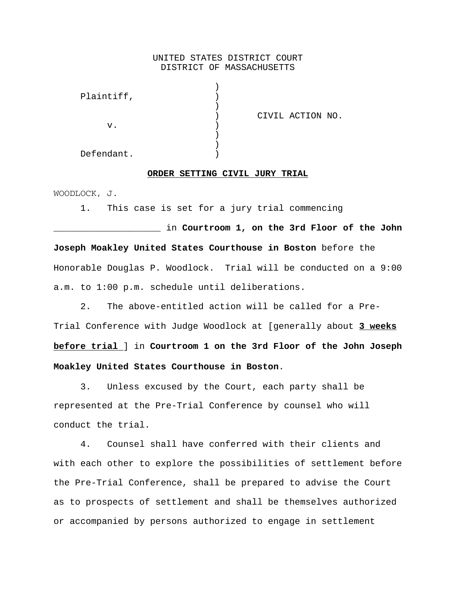# UNITED STATES DISTRICT COURT DISTRICT OF MASSACHUSETTS

| CIVIL ACTION NO. |
|------------------|
|                  |
|                  |
|                  |
|                  |
|                  |

#### **ORDER SETTING CIVIL JURY TRIAL**

WOODLOCK, J.

1. This case is set for a jury trial commencing

\_\_\_\_\_\_\_\_\_\_\_\_\_\_\_\_\_\_\_\_ in **Courtroom 1, on the 3rd Floor of the John Joseph Moakley United States Courthouse in Boston** before the Honorable Douglas P. Woodlock. Trial will be conducted on a 9:00 a.m. to 1:00 p.m. schedule until deliberations.

2. The above-entitled action will be called for a Pre-Trial Conference with Judge Woodlock at [generally about **3 weeks before trial** ] in **Courtroom 1 on the 3rd Floor of the John Joseph Moakley United States Courthouse in Boston**.

3. Unless excused by the Court, each party shall be represented at the Pre-Trial Conference by counsel who will conduct the trial.

4. Counsel shall have conferred with their clients and with each other to explore the possibilities of settlement before the Pre-Trial Conference, shall be prepared to advise the Court as to prospects of settlement and shall be themselves authorized or accompanied by persons authorized to engage in settlement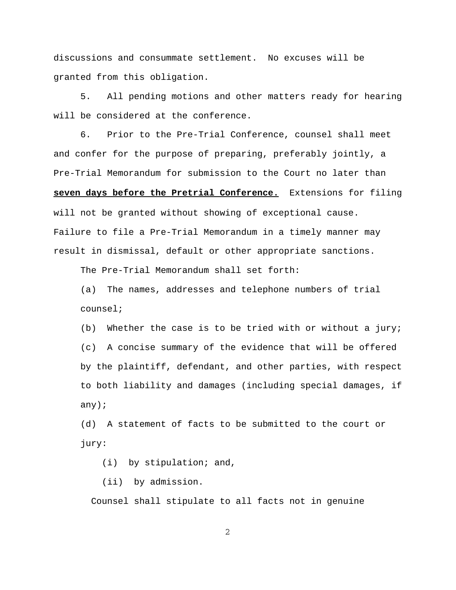discussions and consummate settlement. No excuses will be granted from this obligation.

5. All pending motions and other matters ready for hearing will be considered at the conference.

6. Prior to the Pre-Trial Conference, counsel shall meet and confer for the purpose of preparing, preferably jointly, a Pre-Trial Memorandum for submission to the Court no later than **seven days before the Pretrial Conference.** Extensions for filing will not be granted without showing of exceptional cause. Failure to file a Pre-Trial Memorandum in a timely manner may result in dismissal, default or other appropriate sanctions.

The Pre-Trial Memorandum shall set forth:

(a) The names, addresses and telephone numbers of trial counsel;

(b) Whether the case is to be tried with or without a jury; (c) A concise summary of the evidence that will be offered by the plaintiff, defendant, and other parties, with respect to both liability and damages (including special damages, if any);

(d) A statement of facts to be submitted to the court or jury:

(i) by stipulation; and,

(ii) by admission.

Counsel shall stipulate to all facts not in genuine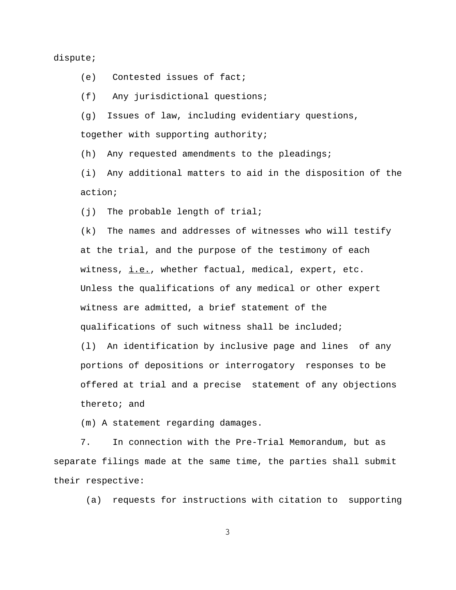# dispute;

(e) Contested issues of fact;

(f) Any jurisdictional questions;

(g) Issues of law, including evidentiary questions, together with supporting authority;

(h) Any requested amendments to the pleadings;

(i) Any additional matters to aid in the disposition of the action;

(j) The probable length of trial;

(k) The names and addresses of witnesses who will testify at the trial, and the purpose of the testimony of each witness,  $i.e.,$  whether factual, medical, expert, etc. Unless the qualifications of any medical or other expert witness are admitted, a brief statement of the qualifications of such witness shall be included; (l) An identification by inclusive page and lines of any portions of depositions or interrogatory responses to be offered at trial and a precise statement of any objections

thereto; and

(m) A statement regarding damages.

7. In connection with the Pre-Trial Memorandum, but as separate filings made at the same time, the parties shall submit their respective:

(a) requests for instructions with citation to supporting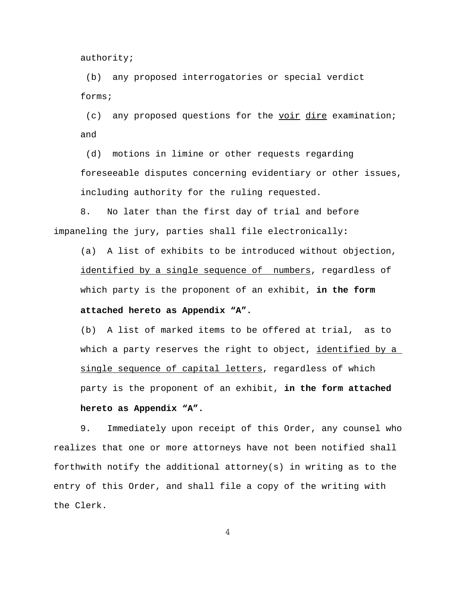authority;

 (b) any proposed interrogatories or special verdict forms;

 (c) any proposed questions for the voir dire examination; and

 (d) motions in limine or other requests regarding foreseeable disputes concerning evidentiary or other issues, including authority for the ruling requested.

8. No later than the first day of trial and before impaneling the jury, parties shall file electronically**:**

 (a) A list of exhibits to be introduced without objection, identified by a single sequence of numbers, regardless of which party is the proponent of an exhibit, **in the form attached hereto as Appendix "A".**

 (b) A list of marked items to be offered at trial, as to which a party reserves the right to object, identified by a single sequence of capital letters, regardless of which party is the proponent of an exhibit, **in the form attached hereto as Appendix "A".**

9. Immediately upon receipt of this Order, any counsel who realizes that one or more attorneys have not been notified shall forthwith notify the additional attorney(s) in writing as to the entry of this Order, and shall file a copy of the writing with the Clerk.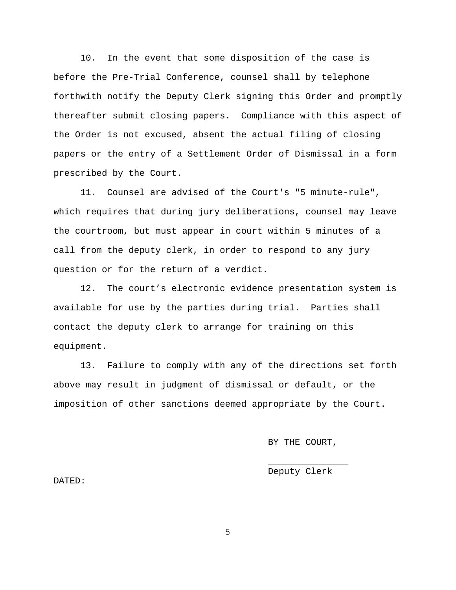10. In the event that some disposition of the case is before the Pre-Trial Conference, counsel shall by telephone forthwith notify the Deputy Clerk signing this Order and promptly thereafter submit closing papers. Compliance with this aspect of the Order is not excused, absent the actual filing of closing papers or the entry of a Settlement Order of Dismissal in a form prescribed by the Court.

11. Counsel are advised of the Court's "5 minute-rule", which requires that during jury deliberations, counsel may leave the courtroom, but must appear in court within 5 minutes of a call from the deputy clerk, in order to respond to any jury question or for the return of a verdict.

12. The court's electronic evidence presentation system is available for use by the parties during trial. Parties shall contact the deputy clerk to arrange for training on this equipment.

13. Failure to comply with any of the directions set forth above may result in judgment of dismissal or default, or the imposition of other sanctions deemed appropriate by the Court.

BY THE COURT,

 $\mathcal{L}_\mathcal{L}$  , which is a set of the set of the set of the set of the set of the set of the set of the set of the set of the set of the set of the set of the set of the set of the set of the set of the set of the set of Deputy Clerk

DATED: